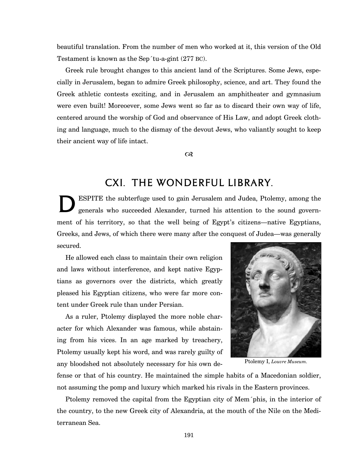beautiful translation. From the number of men who worked at it, this version of the Old Testament is known as the Sep´tu-a-gint (277 BC).

Greek rule brought changes to this ancient land of the Scriptures. Some Jews, especially in Jerusalem, began to admire Greek philosophy, science, and art. They found the Greek athletic contests exciting, and in Jerusalem an amphitheater and gymnasium were even built! Moreoever, some Jews went so far as to discard their own way of life, centered around the worship of God and observance of His Law, and adopt Greek clothing and language, much to the dismay of the devout Jews, who valiantly sought to keep their ancient way of life intact.

 $\infty$ 

## CXI. The Wonderful Library.

ESPITE the subterfuge used to gain Jerusalem and Judea, Ptolemy, among the generals who succeeded Alexander, turned his attention to the sound government of his territory, so that the well being of Egypt's citizens—native Egyptians, Greeks, and Jews, of which there were many after the conquest of Judea—was generally secured.  $\sum_{\alpha}^{\text{E}}$ 

He allowed each class to maintain their own religion and laws without interference, and kept native Egyptians as governors over the districts, which greatly pleased his Egyptian citizens, who were far more content under Greek rule than under Persian.

As a ruler, Ptolemy displayed the more noble character for which Alexander was famous, while abstaining from his vices. In an age marked by treachery, Ptolemy usually kept his word, and was rarely guilty of any bloodshed not absolutely necessary for his own de-



Ptolemy I, *Louvre Museum.*

fense or that of his country. He maintained the simple habits of a Macedonian soldier, not assuming the pomp and luxury which marked his rivals in the Eastern provinces.

Ptolemy removed the capital from the Egyptian city of Mem´phis, in the interior of the country, to the new Greek city of Alexandria, at the mouth of the Nile on the Mediterranean Sea.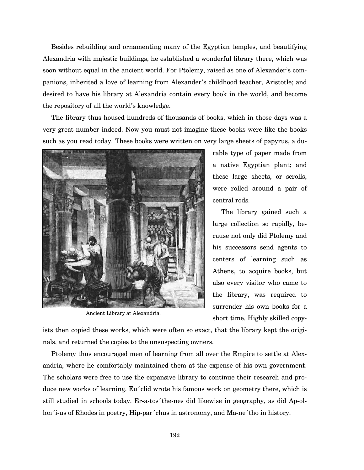Besides rebuilding and ornamenting many of the Egyptian temples, and beautifying Alexandria with majestic buildings, he established a wonderful library there, which was soon without equal in the ancient world. For Ptolemy, raised as one of Alexander's companions, inherited a love of learning from Alexander's childhood teacher, Aristotle; and desired to have his library at Alexandria contain every book in the world, and become the repository of all the world's knowledge.

The library thus housed hundreds of thousands of books, which in those days was a very great number indeed. Now you must not imagine these books were like the books such as you read today. These books were written on very large sheets of papyrus, a du-



Ancient Library at Alexandria.

rable type of paper made from a native Egyptian plant; and these large sheets, or scrolls, were rolled around a pair of central rods.

The library gained such a large collection so rapidly, because not only did Ptolemy and his successors send agents to centers of learning such as Athens, to acquire books, but also every visitor who came to the library, was required to surrender his own books for a short time. Highly skilled copy-

ists then copied these works, which were often so exact, that the library kept the originals, and returned the copies to the unsuspecting owners.

Ptolemy thus encouraged men of learning from all over the Empire to settle at Alexandria, where he comfortably maintained them at the expense of his own government. The scholars were free to use the expansive library to continue their research and produce new works of learning. Eu´clid wrote his famous work on geometry there, which is still studied in schools today. Er-a-tos´the-nes did likewise in geography, as did Ap-ollon´i-us of Rhodes in poetry, Hip-par´chus in astronomy, and Ma-ne´tho in history.